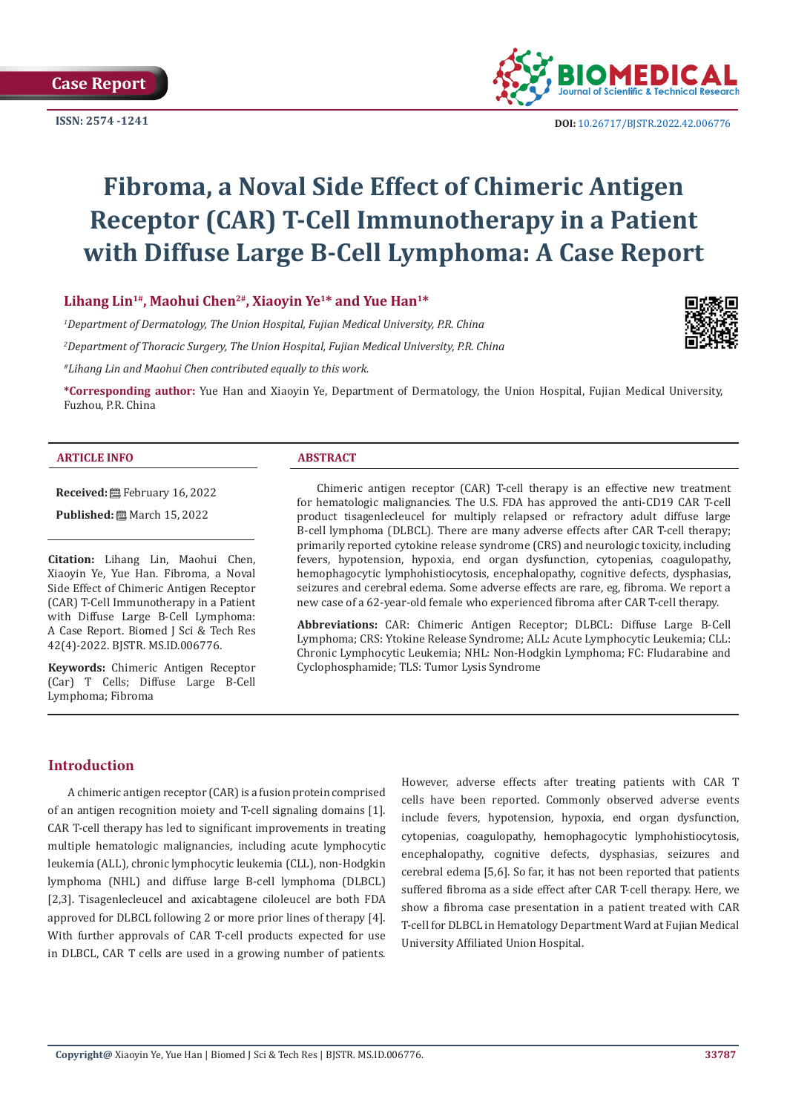

# **Fibroma, a Noval Side Effect of Chimeric Antigen Receptor (CAR) T-Cell Immunotherapy in a Patient with Diffuse Large B-Cell Lymphoma: A Case Report**

# Lihang Lin<sup>1#</sup>, Maohui Chen<sup>2#</sup>, Xiaoyin Ye<sup>1\*</sup> and Yue Han<sup>1\*</sup>

*1 Department of Dermatology, The Union Hospital, Fujian Medical University, P.R. China*

*2 Department of Thoracic Surgery, The Union Hospital, Fujian Medical University, P.R. China*

*#Lihang Lin and Maohui Chen contributed equally to this work.*

**\*Corresponding author:** Yue Han and Xiaoyin Ye, Department of Dermatology, the Union Hospital, Fujian Medical University, Fuzhou, P.R. China

#### **ARTICLE INFO ABSTRACT**

**Received:** February 16, 2022

**Published:** ■ March 15, 2022

**Citation:** Lihang Lin, Maohui Chen, Xiaoyin Ye, Yue Han. Fibroma, a Noval Side Effect of Chimeric Antigen Receptor (CAR) T-Cell Immunotherapy in a Patient with Diffuse Large B-Cell Lymphoma: A Case Report. Biomed J Sci & Tech Res 42(4)-2022. BJSTR. MS.ID.006776.

**Keywords:** Chimeric Antigen Receptor (Car) T Cells; Diffuse Large B-Cell Lymphoma; Fibroma

Chimeric antigen receptor (CAR) T-cell therapy is an effective new treatment for hematologic malignancies. The U.S. FDA has approved the anti-CD19 CAR T-cell product tisagenlecleucel for multiply relapsed or refractory adult diffuse large B-cell lymphoma (DLBCL). There are many adverse effects after CAR T-cell therapy; primarily reported cytokine release syndrome (CRS) and neurologic toxicity, including fevers, hypotension, hypoxia, end organ dysfunction, cytopenias, coagulopathy, hemophagocytic lymphohistiocytosis, encephalopathy, cognitive defects, dysphasias, seizures and cerebral edema. Some adverse effects are rare, eg, fibroma. We report a new case of a 62-year-old female who experienced fibroma after CAR T-cell therapy.

**Abbreviations:** CAR: Chimeric Antigen Receptor; DLBCL: Diffuse Large B-Cell Lymphoma; CRS: Ytokine Release Syndrome; ALL: Acute Lymphocytic Leukemia; CLL: Chronic Lymphocytic Leukemia; NHL: Non-Hodgkin Lymphoma; FC: Fludarabine and Cyclophosphamide; TLS: Tumor Lysis Syndrome

# **Introduction**

A chimeric antigen receptor (CAR) is a fusion protein comprised of an antigen recognition moiety and T-cell signaling domains [1]. CAR T-cell therapy has led to significant improvements in treating multiple hematologic malignancies, including acute lymphocytic leukemia (ALL), chronic lymphocytic leukemia (CLL), non-Hodgkin lymphoma (NHL) and diffuse large B-cell lymphoma (DLBCL) [2,3]. Tisagenlecleucel and axicabtagene ciloleucel are both FDA approved for DLBCL following 2 or more prior lines of therapy [4]. With further approvals of CAR T-cell products expected for use in DLBCL, CAR T cells are used in a growing number of patients. However, adverse effects after treating patients with CAR T cells have been reported. Commonly observed adverse events include fevers, hypotension, hypoxia, end organ dysfunction, cytopenias, coagulopathy, hemophagocytic lymphohistiocytosis, encephalopathy, cognitive defects, dysphasias, seizures and cerebral edema [5,6]. So far, it has not been reported that patients suffered fibroma as a side effect after CAR T-cell therapy. Here, we show a fibroma case presentation in a patient treated with CAR T-cell for DLBCL in Hematology Department Ward at Fujian Medical University Affiliated Union Hospital.

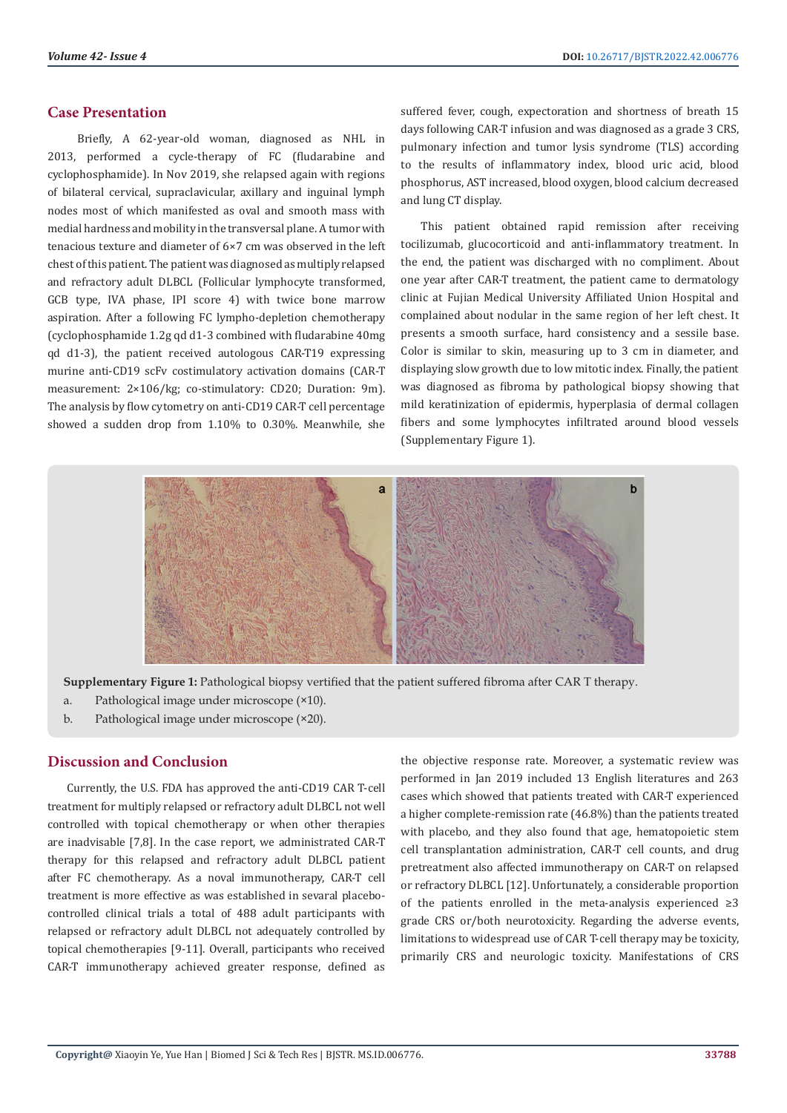# **Case Presentation**

 Briefly, A 62-year-old woman, diagnosed as NHL in 2013, performed a cycle-therapy of FC (fludarabine and cyclophosphamide). In Nov 2019, she relapsed again with regions of bilateral cervical, supraclavicular, axillary and inguinal lymph nodes most of which manifested as oval and smooth mass with medial hardness and mobility in the transversal plane. A tumor with tenacious texture and diameter of 6×7 cm was observed in the left chest of this patient. The patient was diagnosed as multiply relapsed and refractory adult DLBCL (Follicular lymphocyte transformed, GCB type, IVA phase, IPI score 4) with twice bone marrow aspiration. After a following FC lympho-depletion chemotherapy (cyclophosphamide 1.2g qd d1-3 combined with fludarabine 40mg qd d1-3), the patient received autologous CAR-T19 expressing murine anti-CD19 scFv costimulatory activation domains (CAR-T measurement: 2×106/kg; co-stimulatory: CD20; Duration: 9m). The analysis by flow cytometry on anti-CD19 CAR-T cell percentage showed a sudden drop from 1.10% to 0.30%. Meanwhile, she

suffered fever, cough, expectoration and shortness of breath 15 days following CAR-T infusion and was diagnosed as a grade 3 CRS, pulmonary infection and tumor lysis syndrome (TLS) according to the results of inflammatory index, blood uric acid, blood phosphorus, AST increased, blood oxygen, blood calcium decreased and lung CT display.

This patient obtained rapid remission after receiving tocilizumab, glucocorticoid and anti-inflammatory treatment. In the end, the patient was discharged with no compliment. About one year after CAR-T treatment, the patient came to dermatology clinic at Fujian Medical University Affiliated Union Hospital and complained about nodular in the same region of her left chest. It presents a smooth surface, hard consistency and a sessile base. Color is similar to skin, measuring up to 3 cm in diameter, and displaying slow growth due to low mitotic index. Finally, the patient was diagnosed as fibroma by pathological biopsy showing that mild keratinization of epidermis, hyperplasia of dermal collagen fibers and some lymphocytes infiltrated around blood vessels (Supplementary Figure 1).



**Supplementary Figure 1:** Pathological biopsy vertified that the patient suffered fibroma after CAR T therapy.

- a. Pathological image under microscope (×10).
- b. Pathological image under microscope (×20).

# **Discussion and Conclusion**

Currently, the U.S. FDA has approved the anti-CD19 CAR T-cell treatment for multiply relapsed or refractory adult DLBCL not well controlled with topical chemotherapy or when other therapies are inadvisable [7,8]. In the case report, we administrated CAR-T therapy for this relapsed and refractory adult DLBCL patient after FC chemotherapy. As a noval immunotherapy, CAR-T cell treatment is more effective as was established in sevaral placebocontrolled clinical trials a total of 488 adult participants with relapsed or refractory adult DLBCL not adequately controlled by topical chemotherapies [9-11]. Overall, participants who received CAR-T immunotherapy achieved greater response, defined as

the objective response rate. Moreover, a systematic review was performed in Jan 2019 included 13 English literatures and 263 cases which showed that patients treated with CAR-T experienced a higher complete-remission rate (46.8%) than the patients treated with placebo, and they also found that age, hematopoietic stem cell transplantation administration, CAR-T cell counts, and drug pretreatment also affected immunotherapy on CAR-T on relapsed or refractory DLBCL [12]. Unfortunately, a considerable proportion of the patients enrolled in the meta-analysis experienced ≥3 grade CRS or/both neurotoxicity. Regarding the adverse events, limitations to widespread use of CAR T-cell therapy may be toxicity, primarily CRS and neurologic toxicity. Manifestations of CRS